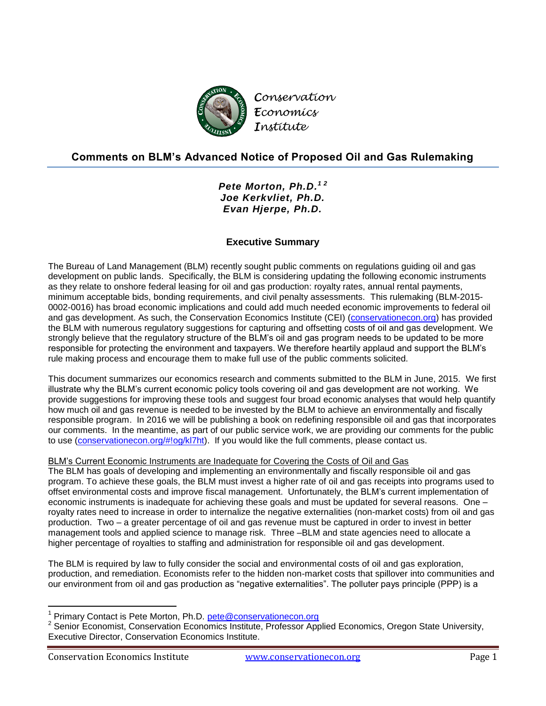

# **Comments on BLM's Advanced Notice of Proposed Oil and Gas Rulemaking**

*Pete Morton, Ph.D. 1 2 Joe Kerkvliet, Ph.D. Evan Hjerpe, Ph.D.*

## **Executive Summary**

The Bureau of Land Management (BLM) recently sought public comments on regulations guiding oil and gas development on public lands. Specifically, the BLM is considering updating the following economic instruments as they relate to onshore federal leasing for oil and gas production: royalty rates, annual rental payments, minimum acceptable bids, bonding requirements, and civil penalty assessments. This rulemaking (BLM-2015- 0002-0016) has broad economic implications and could add much needed economic improvements to federal oil and gas development. As such, the Conservation Economics Institute (CEI) [\(conservationecon.org\)](http://www.conservationecon.org/) has provided the BLM with numerous regulatory suggestions for capturing and offsetting costs of oil and gas development. We strongly believe that the regulatory structure of the BLM's oil and gas program needs to be updated to be more responsible for protecting the environment and taxpayers. We therefore heartily applaud and support the BLM's rule making process and encourage them to make full use of the public comments solicited.

This document summarizes our economics research and comments submitted to the BLM in June, 2015. We first illustrate why the BLM's current economic policy tools covering oil and gas development are not working. We provide suggestions for improving these tools and suggest four broad economic analyses that would help quantify how much oil and gas revenue is needed to be invested by the BLM to achieve an environmentally and fiscally responsible program. In 2016 we will be publishing a book on redefining responsible oil and gas that incorporates our comments. In the meantime, as part of our public service work, we are providing our comments for the public to use [\(conservationecon.org/#!og/kl7ht\)](http://www.conservationecon.org/#!og/kl7ht). If you would like the full comments, please contact us.

## BLM's Current Economic Instruments are Inadequate for Covering the Costs of Oil and Gas

The BLM has goals of developing and implementing an environmentally and fiscally responsible oil and gas program. To achieve these goals, the BLM must invest a higher rate of oil and gas receipts into programs used to offset environmental costs and improve fiscal management. Unfortunately, the BLM's current implementation of economic instruments is inadequate for achieving these goals and must be updated for several reasons. One – royalty rates need to increase in order to internalize the negative externalities (non-market costs) from oil and gas production. Two – a greater percentage of oil and gas revenue must be captured in order to invest in better management tools and applied science to manage risk. Three –BLM and state agencies need to allocate a higher percentage of royalties to staffing and administration for responsible oil and gas development.

The BLM is required by law to fully consider the social and environmental costs of oil and gas exploration, production, and remediation. Economists refer to the hidden non-market costs that spillover into communities and our environment from oil and gas production as "negative externalities". The polluter pays principle (PPP) is a

 $\overline{\phantom{a}}$ 

<sup>1</sup> Primary Contact is Pete Morton, Ph.D. [pete@conservationecon.org](mailto:pete@conservationecon.org)

<sup>2</sup> Senior Economist, Conservation Economics Institute, Professor Applied Economics, Oregon State University, Executive Director, Conservation Economics Institute.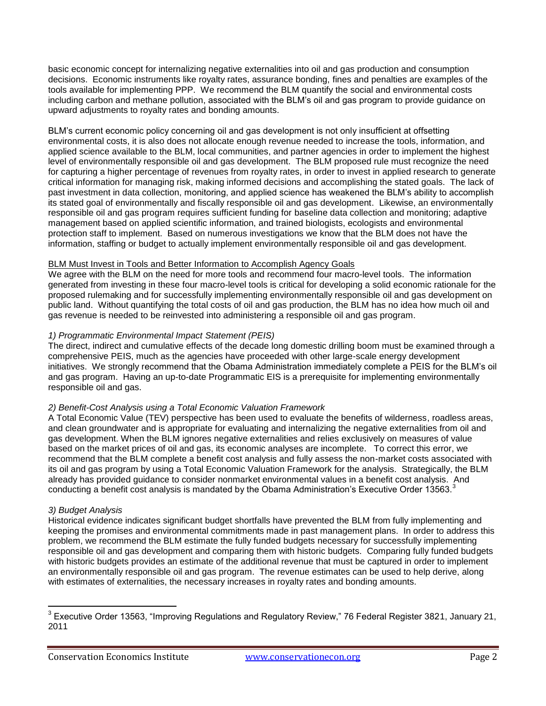basic economic concept for internalizing negative externalities into oil and gas production and consumption decisions. Economic instruments like royalty rates, assurance bonding, fines and penalties are examples of the tools available for implementing PPP. We recommend the BLM quantify the social and environmental costs including carbon and methane pollution, associated with the BLM's oil and gas program to provide guidance on upward adjustments to royalty rates and bonding amounts.

BLM's current economic policy concerning oil and gas development is not only insufficient at offsetting environmental costs, it is also does not allocate enough revenue needed to increase the tools, information, and applied science available to the BLM, local communities, and partner agencies in order to implement the highest level of environmentally responsible oil and gas development. The BLM proposed rule must recognize the need for capturing a higher percentage of revenues from royalty rates, in order to invest in applied research to generate critical information for managing risk, making informed decisions and accomplishing the stated goals. The lack of past investment in data collection, monitoring, and applied science has weakened the BLM's ability to accomplish its stated goal of environmentally and fiscally responsible oil and gas development. Likewise, an environmentally responsible oil and gas program requires sufficient funding for baseline data collection and monitoring; adaptive management based on applied scientific information, and trained biologists, ecologists and environmental protection staff to implement. Based on numerous investigations we know that the BLM does not have the information, staffing or budget to actually implement environmentally responsible oil and gas development.

## BLM Must Invest in Tools and Better Information to Accomplish Agency Goals

We agree with the BLM on the need for more tools and recommend four macro-level tools. The information generated from investing in these four macro-level tools is critical for developing a solid economic rationale for the proposed rulemaking and for successfully implementing environmentally responsible oil and gas development on public land. Without quantifying the total costs of oil and gas production, the BLM has no idea how much oil and gas revenue is needed to be reinvested into administering a responsible oil and gas program.

## *1) Programmatic Environmental Impact Statement (PEIS)*

The direct, indirect and cumulative effects of the decade long domestic drilling boom must be examined through a comprehensive PEIS, much as the agencies have proceeded with other large-scale energy development initiatives. We strongly recommend that the Obama Administration immediately complete a PEIS for the BLM's oil and gas program. Having an up-to-date Programmatic EIS is a prerequisite for implementing environmentally responsible oil and gas.

#### *2) Benefit-Cost Analysis using a Total Economic Valuation Framework*

A Total Economic Value (TEV) perspective has been used to evaluate the benefits of wilderness, roadless areas, and clean groundwater and is appropriate for evaluating and internalizing the negative externalities from oil and gas development. When the BLM ignores negative externalities and relies exclusively on measures of value based on the market prices of oil and gas, its economic analyses are incomplete. To correct this error, we recommend that the BLM complete a benefit cost analysis and fully assess the non-market costs associated with its oil and gas program by using a Total Economic Valuation Framework for the analysis. Strategically, the BLM already has provided guidance to consider nonmarket environmental values in a benefit cost analysis. And conducting a benefit cost analysis is mandated by the Obama Administration's Executive Order 13563.<sup>3</sup>

#### *3) Budget Analysis*

 $\overline{\phantom{a}}$ 

Historical evidence indicates significant budget shortfalls have prevented the BLM from fully implementing and keeping the promises and environmental commitments made in past management plans. In order to address this problem, we recommend the BLM estimate the fully funded budgets necessary for successfully implementing responsible oil and gas development and comparing them with historic budgets. Comparing fully funded budgets with historic budgets provides an estimate of the additional revenue that must be captured in order to implement an environmentally responsible oil and gas program. The revenue estimates can be used to help derive, along with estimates of externalities, the necessary increases in royalty rates and bonding amounts.

 $^3$  Executive Order 13563, "Improving Regulations and Regulatory Review," 76 Federal Register 3821, January 21, 2011